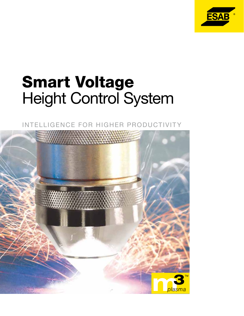

# Smart Voltage Height Control System



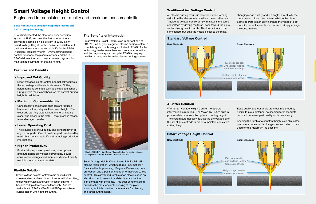Smart Voltage Height Control uses ESAB's PB-MB-1 plasma torch station, which features Pneumatically Balanced tool-tip sensing, Magnetic Breakaway crash protection, and a position encoder for accurate Z-axis control. This advanced torch station also includes an electrical touch-sensor that detects when the torch is in contact with the plate. This dual-sensor system provides the most accurate sensing of the plate surface, which is used as the reference for piercing and initial cutting height.

#### ESAB continues to advance Integrated Plasma and CNC Cutting Technology

ESAB first patented the electrode wear detection system in 1998, and was the first to introduce an arc voltage sample & hold system in 2001. Now Smart Voltage Height Control delivers consistent cut quality and maximum consumable life for the PT-36 Precision Plasmarc™ torch. By integrating height control functions, the plasma system, and the CNC, ESAB delivers the best, most automated system for maintaining plasma torch cutting height.

Engineered for consistent cut quality and maximum consumable life.

# Smart Voltage Height Control

#### • Improved Cut Quality

Smart Voltage Height Control automatically corrects the arc voltage as the electrode wears. Cutting height remains constant even as the arc gets longer. Cut quality is maintained because the correct cutting height is maintained.

#### **Maximum Consumable Life**

Unnecessary consumable changes are reduced because the torch stays at the correct height. The electrode can fully wear without the torch cutting closer and closer to the plate. Fewer crashes means fewer damaged nozzles.

#### • Lower Operating Cost

The result is better cut quality and consistency in all of your cut parts. Overall cost-per-part is reduced by maximizing consumable life and reducing production interruptions.

#### • Higher Productivity

Productivity improves by reducing interruptions and automating arc voltage corrections. Fewer consumable changes and more consitent cut quality result in more parts cut per shift.

#### Traditional Arc Voltage Control

All plasma cutting results in electrode wear, forming a divot on the electrode face where the arc attaches. Traditional voltage control simply maintains the same arc voltage by driving the torch lower toward the plate as the divot grows in depth. This keeps the arc the same length but puts the nozzle closer to the plate,





ESAB's PB-MB-1 High Speed Plasma Station for straight plasma cutting with the PT-36 Precision Plasmarc™ torch.

#### Smart Voltage Height Control



#### The Benefits of Integration

Smart Voltage Height Control is an important part of ESAB's Smart Cycle integrated plasma cutting system, a complete system technology exclusive to ESAB. As the technology leader in machine and process automation and the only total system supplier, ESAB is uniquely qualified to integrate the entire plasma cutting process.

changing edge quality and cut angle. Eventually the torch gets so close it starts to crash into the plate. Some operators manually increase the voltage to get more life out of the electrode, but most simply change the consumables.

### A Better Solution

With Smart Voltage Height Control, no operator intervention is required. The Vision T5 CNC's built-in process database sets the optimum cutting height. The system automatically adjusts the arc voltage over the life of an electrode in order to maintain consistent cutting height.

Edge quality and cut angle are most influenced by nozzle to plate distance, so keeping torch standoff constant improves part quality and consistency.

Keeping the torch at a constant height also eliminates premature consumable changes, so each electrode is used for the maximum life possible.

#### Flexible Solution

Smart Voltage height Control works on mild steel, stainless steel, and Aluminum. It works with dry cutting, under water cutting, and water injection cutting. It handles multiple torches simultaneously. And it's available with ESAB's VBA Global PRO plasma bevel cutting station when straight cutting.

#### Features and Benefits